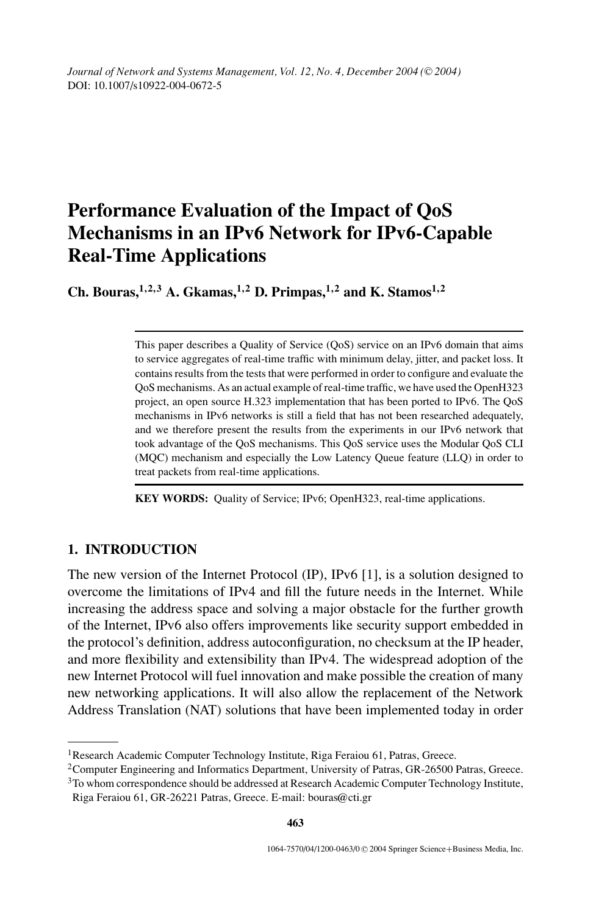# **Performance Evaluation of the Impact of QoS Mechanisms in an IPv6 Network for IPv6-Capable Real-Time Applications**

Ch. Bouras,<sup> $1,2,3$ </sup> A. Gkamas,<sup> $1,2$ </sup> D. Primpas,<sup> $1,2$ </sup> and K. Stamos<sup> $1,2$ </sup>

This paper describes a Quality of Service (QoS) service on an IPv6 domain that aims to service aggregates of real-time traffic with minimum delay, jitter, and packet loss. It contains results from the tests that were performed in order to configure and evaluate the QoS mechanisms. As an actual example of real-time traffic, we have used the OpenH323 project, an open source H.323 implementation that has been ported to IPv6. The QoS mechanisms in IPv6 networks is still a field that has not been researched adequately, and we therefore present the results from the experiments in our IPv6 network that took advantage of the QoS mechanisms. This QoS service uses the Modular QoS CLI (MQC) mechanism and especially the Low Latency Queue feature (LLQ) in order to treat packets from real-time applications.

**KEY WORDS:** Quality of Service; IPv6; OpenH323, real-time applications.

# **1. INTRODUCTION**

The new version of the Internet Protocol (IP), IPv6 [1], is a solution designed to overcome the limitations of IPv4 and fill the future needs in the Internet. While increasing the address space and solving a major obstacle for the further growth of the Internet, IPv6 also offers improvements like security support embedded in the protocol's definition, address autoconfiguration, no checksum at the IP header, and more flexibility and extensibility than IPv4. The widespread adoption of the new Internet Protocol will fuel innovation and make possible the creation of many new networking applications. It will also allow the replacement of the Network Address Translation (NAT) solutions that have been implemented today in order

<sup>&</sup>lt;sup>1</sup>Research Academic Computer Technology Institute, Riga Feraiou 61, Patras, Greece.

<sup>&</sup>lt;sup>2</sup>Computer Engineering and Informatics Department, University of Patras, GR-26500 Patras, Greece.

<sup>&</sup>lt;sup>3</sup>To whom correspondence should be addressed at Research Academic Computer Technology Institute,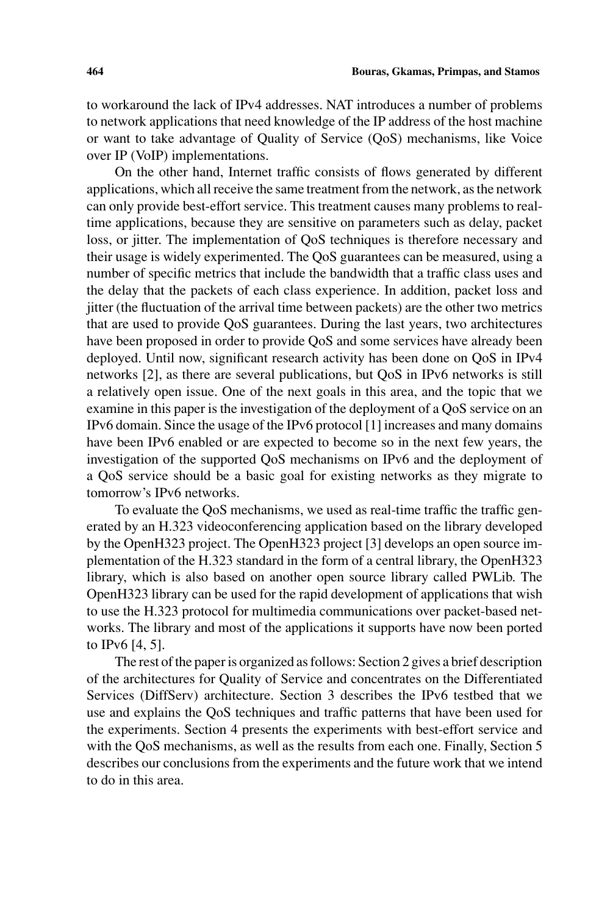to workaround the lack of IPv4 addresses. NAT introduces a number of problems to network applications that need knowledge of the IP address of the host machine or want to take advantage of Quality of Service (QoS) mechanisms, like Voice over IP (VoIP) implementations.

On the other hand, Internet traffic consists of flows generated by different applications, which all receive the same treatment from the network, as the network can only provide best-effort service. This treatment causes many problems to realtime applications, because they are sensitive on parameters such as delay, packet loss, or jitter. The implementation of QoS techniques is therefore necessary and their usage is widely experimented. The QoS guarantees can be measured, using a number of specific metrics that include the bandwidth that a traffic class uses and the delay that the packets of each class experience. In addition, packet loss and jitter (the fluctuation of the arrival time between packets) are the other two metrics that are used to provide QoS guarantees. During the last years, two architectures have been proposed in order to provide QoS and some services have already been deployed. Until now, significant research activity has been done on QoS in IPv4 networks [2], as there are several publications, but QoS in IPv6 networks is still a relatively open issue. One of the next goals in this area, and the topic that we examine in this paper is the investigation of the deployment of a QoS service on an IPv6 domain. Since the usage of the IPv6 protocol [1] increases and many domains have been IPv6 enabled or are expected to become so in the next few years, the investigation of the supported QoS mechanisms on IPv6 and the deployment of a QoS service should be a basic goal for existing networks as they migrate to tomorrow's IPv6 networks.

To evaluate the QoS mechanisms, we used as real-time traffic the traffic generated by an H.323 videoconferencing application based on the library developed by the OpenH323 project. The OpenH323 project [3] develops an open source implementation of the H.323 standard in the form of a central library, the OpenH323 library, which is also based on another open source library called PWLib. The OpenH323 library can be used for the rapid development of applications that wish to use the H.323 protocol for multimedia communications over packet-based networks. The library and most of the applications it supports have now been ported to IPv6 [4, 5].

The rest of the paper is organized as follows: Section 2 gives a brief description of the architectures for Quality of Service and concentrates on the Differentiated Services (DiffServ) architecture. Section 3 describes the IPv6 testbed that we use and explains the QoS techniques and traffic patterns that have been used for the experiments. Section 4 presents the experiments with best-effort service and with the QoS mechanisms, as well as the results from each one. Finally, Section 5 describes our conclusions from the experiments and the future work that we intend to do in this area.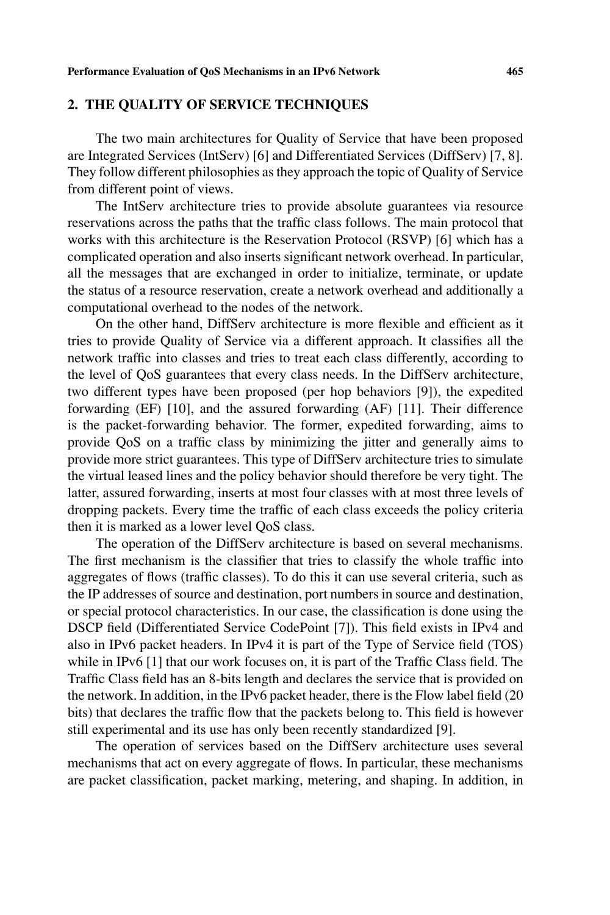## **2. THE QUALITY OF SERVICE TECHNIQUES**

The two main architectures for Quality of Service that have been proposed are Integrated Services (IntServ) [6] and Differentiated Services (DiffServ) [7, 8]. They follow different philosophies as they approach the topic of Quality of Service from different point of views.

The IntServ architecture tries to provide absolute guarantees via resource reservations across the paths that the traffic class follows. The main protocol that works with this architecture is the Reservation Protocol (RSVP) [6] which has a complicated operation and also inserts significant network overhead. In particular, all the messages that are exchanged in order to initialize, terminate, or update the status of a resource reservation, create a network overhead and additionally a computational overhead to the nodes of the network.

On the other hand, DiffServ architecture is more flexible and efficient as it tries to provide Quality of Service via a different approach. It classifies all the network traffic into classes and tries to treat each class differently, according to the level of QoS guarantees that every class needs. In the DiffServ architecture, two different types have been proposed (per hop behaviors [9]), the expedited forwarding (EF) [10], and the assured forwarding (AF) [11]. Their difference is the packet-forwarding behavior. The former, expedited forwarding, aims to provide QoS on a traffic class by minimizing the jitter and generally aims to provide more strict guarantees. This type of DiffServ architecture tries to simulate the virtual leased lines and the policy behavior should therefore be very tight. The latter, assured forwarding, inserts at most four classes with at most three levels of dropping packets. Every time the traffic of each class exceeds the policy criteria then it is marked as a lower level QoS class.

The operation of the DiffServ architecture is based on several mechanisms. The first mechanism is the classifier that tries to classify the whole traffic into aggregates of flows (traffic classes). To do this it can use several criteria, such as the IP addresses of source and destination, port numbers in source and destination, or special protocol characteristics. In our case, the classification is done using the DSCP field (Differentiated Service CodePoint [7]). This field exists in IPv4 and also in IPv6 packet headers. In IPv4 it is part of the Type of Service field (TOS) while in IPv6 [1] that our work focuses on, it is part of the Traffic Class field. The Traffic Class field has an 8-bits length and declares the service that is provided on the network. In addition, in the IPv6 packet header, there is the Flow label field (20 bits) that declares the traffic flow that the packets belong to. This field is however still experimental and its use has only been recently standardized [9].

The operation of services based on the DiffServ architecture uses several mechanisms that act on every aggregate of flows. In particular, these mechanisms are packet classification, packet marking, metering, and shaping. In addition, in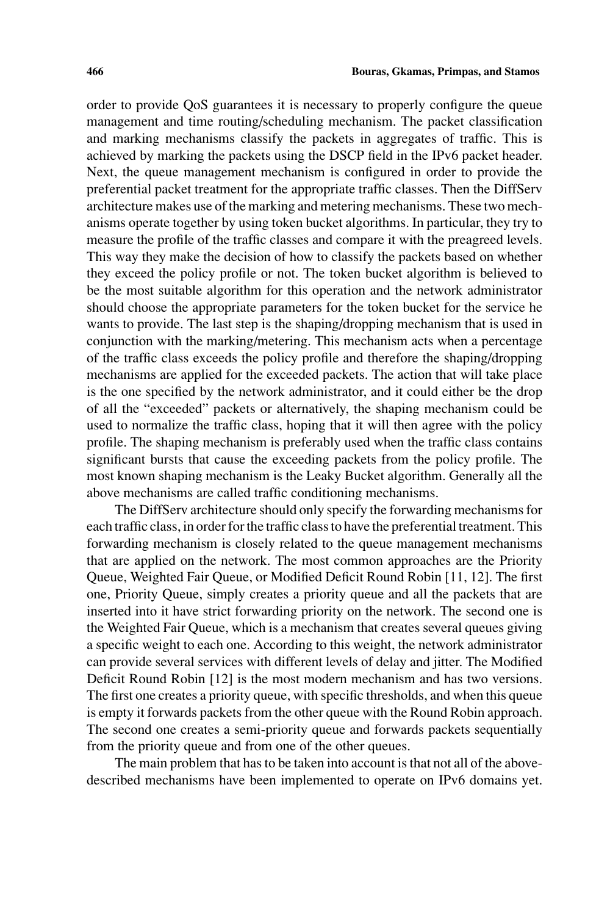order to provide QoS guarantees it is necessary to properly configure the queue management and time routing/scheduling mechanism. The packet classification and marking mechanisms classify the packets in aggregates of traffic. This is achieved by marking the packets using the DSCP field in the IPv6 packet header. Next, the queue management mechanism is configured in order to provide the preferential packet treatment for the appropriate traffic classes. Then the DiffServ architecture makes use of the marking and metering mechanisms. These two mechanisms operate together by using token bucket algorithms. In particular, they try to measure the profile of the traffic classes and compare it with the preagreed levels. This way they make the decision of how to classify the packets based on whether they exceed the policy profile or not. The token bucket algorithm is believed to be the most suitable algorithm for this operation and the network administrator should choose the appropriate parameters for the token bucket for the service he wants to provide. The last step is the shaping/dropping mechanism that is used in conjunction with the marking/metering. This mechanism acts when a percentage of the traffic class exceeds the policy profile and therefore the shaping/dropping mechanisms are applied for the exceeded packets. The action that will take place is the one specified by the network administrator, and it could either be the drop of all the "exceeded" packets or alternatively, the shaping mechanism could be used to normalize the traffic class, hoping that it will then agree with the policy profile. The shaping mechanism is preferably used when the traffic class contains significant bursts that cause the exceeding packets from the policy profile. The most known shaping mechanism is the Leaky Bucket algorithm. Generally all the above mechanisms are called traffic conditioning mechanisms.

The DiffServ architecture should only specify the forwarding mechanisms for each traffic class, in order for the traffic class to have the preferential treatment. This forwarding mechanism is closely related to the queue management mechanisms that are applied on the network. The most common approaches are the Priority Queue, Weighted Fair Queue, or Modified Deficit Round Robin [11, 12]. The first one, Priority Queue, simply creates a priority queue and all the packets that are inserted into it have strict forwarding priority on the network. The second one is the Weighted Fair Queue, which is a mechanism that creates several queues giving a specific weight to each one. According to this weight, the network administrator can provide several services with different levels of delay and jitter. The Modified Deficit Round Robin [12] is the most modern mechanism and has two versions. The first one creates a priority queue, with specific thresholds, and when this queue is empty it forwards packets from the other queue with the Round Robin approach. The second one creates a semi-priority queue and forwards packets sequentially from the priority queue and from one of the other queues.

The main problem that has to be taken into account is that not all of the abovedescribed mechanisms have been implemented to operate on IPv6 domains yet.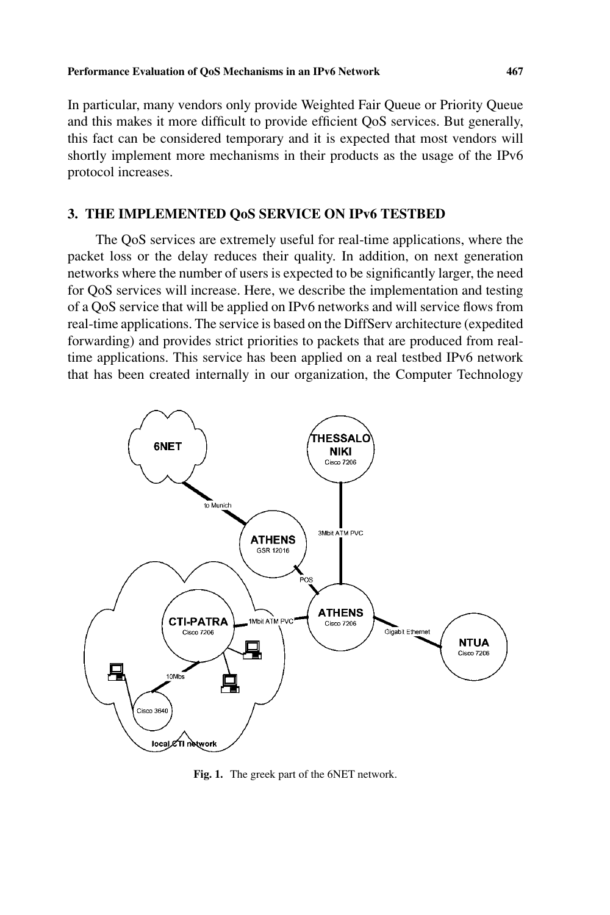In particular, many vendors only provide Weighted Fair Queue or Priority Queue and this makes it more difficult to provide efficient QoS services. But generally, this fact can be considered temporary and it is expected that most vendors will shortly implement more mechanisms in their products as the usage of the IPv6 protocol increases.

# **3. THE IMPLEMENTED QoS SERVICE ON IPv6 TESTBED**

The QoS services are extremely useful for real-time applications, where the packet loss or the delay reduces their quality. In addition, on next generation networks where the number of users is expected to be significantly larger, the need for QoS services will increase. Here, we describe the implementation and testing of a QoS service that will be applied on IPv6 networks and will service flows from real-time applications. The service is based on the DiffServ architecture (expedited forwarding) and provides strict priorities to packets that are produced from realtime applications. This service has been applied on a real testbed IPv6 network that has been created internally in our organization, the Computer Technology



**Fig. 1.** The greek part of the 6NET network.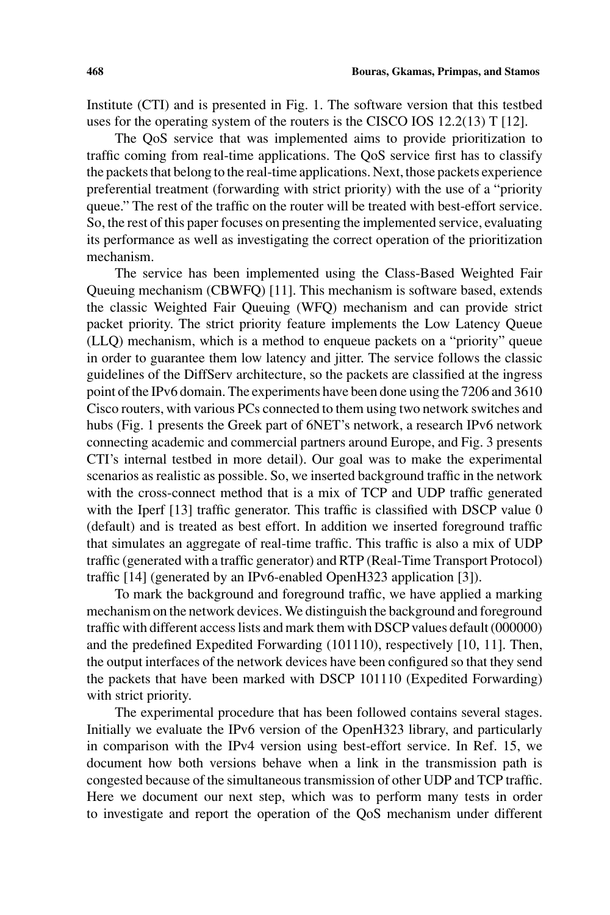Institute (CTI) and is presented in Fig. 1. The software version that this testbed uses for the operating system of the routers is the CISCO IOS 12.2(13) T [12].

The QoS service that was implemented aims to provide prioritization to traffic coming from real-time applications. The QoS service first has to classify the packets that belong to the real-time applications. Next, those packets experience preferential treatment (forwarding with strict priority) with the use of a "priority queue." The rest of the traffic on the router will be treated with best-effort service. So, the rest of this paper focuses on presenting the implemented service, evaluating its performance as well as investigating the correct operation of the prioritization mechanism.

The service has been implemented using the Class-Based Weighted Fair Queuing mechanism (CBWFQ) [11]. This mechanism is software based, extends the classic Weighted Fair Queuing (WFQ) mechanism and can provide strict packet priority. The strict priority feature implements the Low Latency Queue (LLQ) mechanism, which is a method to enqueue packets on a "priority" queue in order to guarantee them low latency and jitter. The service follows the classic guidelines of the DiffServ architecture, so the packets are classified at the ingress point of the IPv6 domain. The experiments have been done using the 7206 and 3610 Cisco routers, with various PCs connected to them using two network switches and hubs (Fig. 1 presents the Greek part of 6NET's network, a research IPv6 network connecting academic and commercial partners around Europe, and Fig. 3 presents CTI's internal testbed in more detail). Our goal was to make the experimental scenarios as realistic as possible. So, we inserted background traffic in the network with the cross-connect method that is a mix of TCP and UDP traffic generated with the Iperf [13] traffic generator. This traffic is classified with DSCP value 0 (default) and is treated as best effort. In addition we inserted foreground traffic that simulates an aggregate of real-time traffic. This traffic is also a mix of UDP traffic (generated with a traffic generator) and RTP (Real-Time Transport Protocol) traffic [14] (generated by an IPv6-enabled OpenH323 application [3]).

To mark the background and foreground traffic, we have applied a marking mechanism on the network devices. We distinguish the background and foreground traffic with different access lists and mark them with DSCP values default (000000) and the predefined Expedited Forwarding (101110), respectively [10, 11]. Then, the output interfaces of the network devices have been configured so that they send the packets that have been marked with DSCP 101110 (Expedited Forwarding) with strict priority.

The experimental procedure that has been followed contains several stages. Initially we evaluate the IPv6 version of the OpenH323 library, and particularly in comparison with the IPv4 version using best-effort service. In Ref. 15, we document how both versions behave when a link in the transmission path is congested because of the simultaneous transmission of other UDP and TCP traffic. Here we document our next step, which was to perform many tests in order to investigate and report the operation of the QoS mechanism under different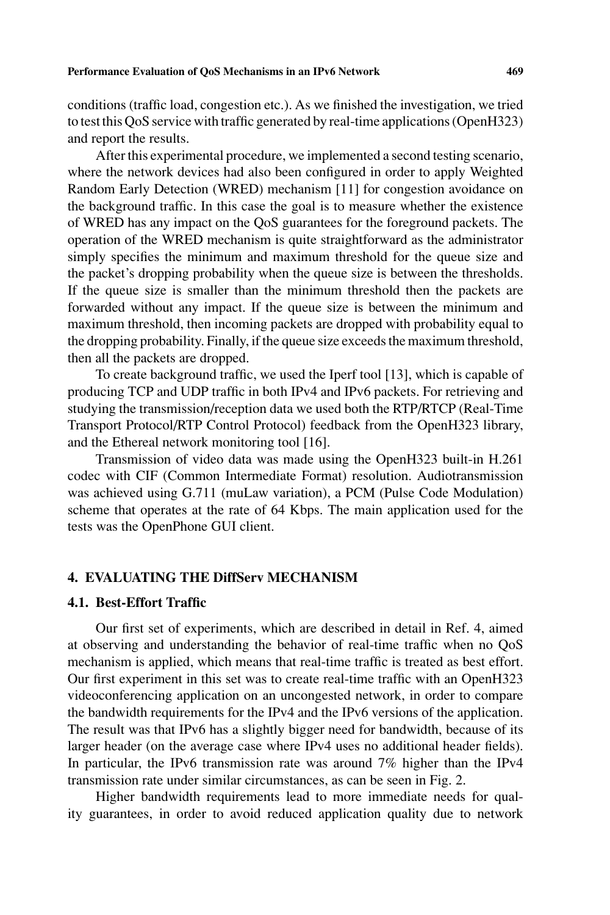#### **Performance Evaluation of QoS Mechanisms in an IPv6 Network 469**

conditions (traffic load, congestion etc.). As we finished the investigation, we tried to test this QoS service with traffic generated by real-time applications (OpenH323) and report the results.

After this experimental procedure, we implemented a second testing scenario, where the network devices had also been configured in order to apply Weighted Random Early Detection (WRED) mechanism [11] for congestion avoidance on the background traffic. In this case the goal is to measure whether the existence of WRED has any impact on the QoS guarantees for the foreground packets. The operation of the WRED mechanism is quite straightforward as the administrator simply specifies the minimum and maximum threshold for the queue size and the packet's dropping probability when the queue size is between the thresholds. If the queue size is smaller than the minimum threshold then the packets are forwarded without any impact. If the queue size is between the minimum and maximum threshold, then incoming packets are dropped with probability equal to the dropping probability. Finally, if the queue size exceeds the maximum threshold, then all the packets are dropped.

To create background traffic, we used the Iperf tool [13], which is capable of producing TCP and UDP traffic in both IPv4 and IPv6 packets. For retrieving and studying the transmission/reception data we used both the RTP/RTCP (Real-Time Transport Protocol/RTP Control Protocol) feedback from the OpenH323 library, and the Ethereal network monitoring tool [16].

Transmission of video data was made using the OpenH323 built-in H.261 codec with CIF (Common Intermediate Format) resolution. Audiotransmission was achieved using G.711 (muLaw variation), a PCM (Pulse Code Modulation) scheme that operates at the rate of 64 Kbps. The main application used for the tests was the OpenPhone GUI client.

## **4. EVALUATING THE DiffServ MECHANISM**

#### **4.1. Best-Effort Traffic**

Our first set of experiments, which are described in detail in Ref. 4, aimed at observing and understanding the behavior of real-time traffic when no QoS mechanism is applied, which means that real-time traffic is treated as best effort. Our first experiment in this set was to create real-time traffic with an OpenH323 videoconferencing application on an uncongested network, in order to compare the bandwidth requirements for the IPv4 and the IPv6 versions of the application. The result was that IPv6 has a slightly bigger need for bandwidth, because of its larger header (on the average case where IPv4 uses no additional header fields). In particular, the IPv6 transmission rate was around 7% higher than the IPv4 transmission rate under similar circumstances, as can be seen in Fig. 2.

Higher bandwidth requirements lead to more immediate needs for quality guarantees, in order to avoid reduced application quality due to network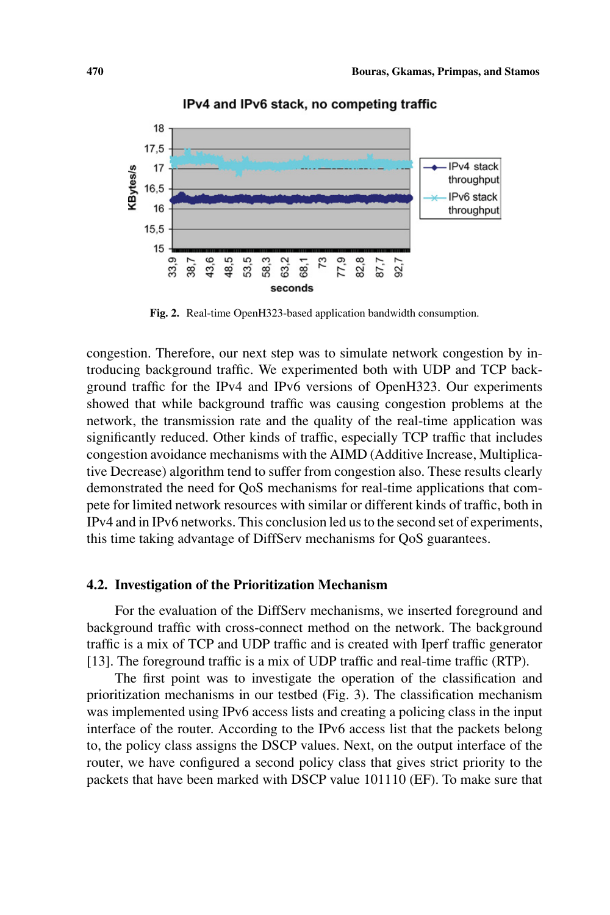

IPv4 and IPv6 stack, no competing traffic

**Fig. 2.** Real-time OpenH323-based application bandwidth consumption.

congestion. Therefore, our next step was to simulate network congestion by introducing background traffic. We experimented both with UDP and TCP background traffic for the IPv4 and IPv6 versions of OpenH323. Our experiments showed that while background traffic was causing congestion problems at the network, the transmission rate and the quality of the real-time application was significantly reduced. Other kinds of traffic, especially TCP traffic that includes congestion avoidance mechanisms with the AIMD (Additive Increase, Multiplicative Decrease) algorithm tend to suffer from congestion also. These results clearly demonstrated the need for QoS mechanisms for real-time applications that compete for limited network resources with similar or different kinds of traffic, both in IPv4 and in IPv6 networks. This conclusion led us to the second set of experiments, this time taking advantage of DiffServ mechanisms for QoS guarantees.

#### **4.2. Investigation of the Prioritization Mechanism**

For the evaluation of the DiffServ mechanisms, we inserted foreground and background traffic with cross-connect method on the network. The background traffic is a mix of TCP and UDP traffic and is created with Iperf traffic generator [13]. The foreground traffic is a mix of UDP traffic and real-time traffic (RTP).

The first point was to investigate the operation of the classification and prioritization mechanisms in our testbed (Fig. 3). The classification mechanism was implemented using IPv6 access lists and creating a policing class in the input interface of the router. According to the IPv6 access list that the packets belong to, the policy class assigns the DSCP values. Next, on the output interface of the router, we have configured a second policy class that gives strict priority to the packets that have been marked with DSCP value 101110 (EF). To make sure that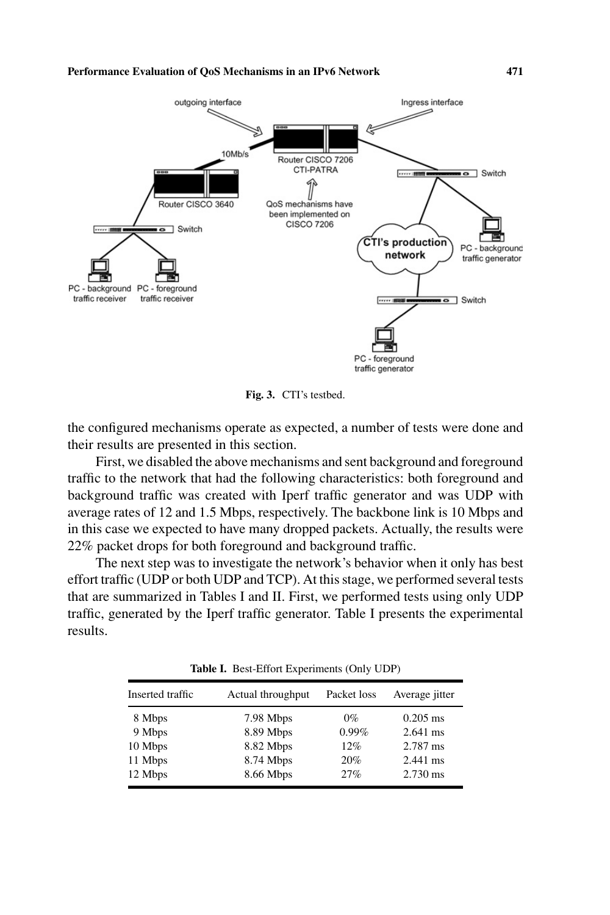

**Fig. 3.** CTI's testbed.

the configured mechanisms operate as expected, a number of tests were done and their results are presented in this section.

First, we disabled the above mechanisms and sent background and foreground traffic to the network that had the following characteristics: both foreground and background traffic was created with Iperf traffic generator and was UDP with average rates of 12 and 1.5 Mbps, respectively. The backbone link is 10 Mbps and in this case we expected to have many dropped packets. Actually, the results were 22% packet drops for both foreground and background traffic.

The next step was to investigate the network's behavior when it only has best effort traffic (UDP or both UDP and TCP). At this stage, we performed several tests that are summarized in Tables I and II. First, we performed tests using only UDP traffic, generated by the Iperf traffic generator. Table I presents the experimental results.

| Inserted traffic                       | Actual throughput                                | Packet loss                  | Average jitter                                     |
|----------------------------------------|--------------------------------------------------|------------------------------|----------------------------------------------------|
| 8 Mbps<br>9 Mbps<br>10 Mbps<br>11 Mbps | 7.98 Mbps<br>8.89 Mbps<br>8.82 Mbps<br>8.74 Mbps | $0\%$<br>0.99%<br>12%<br>20% | $0.205$ ms<br>$2.641$ ms<br>2.787 ms<br>$2.441$ ms |
| 12 Mbps                                | 8.66 Mbps                                        | 27%                          | $2.730 \text{ ms}$                                 |

**Table I.** Best-Effort Experiments (Only UDP)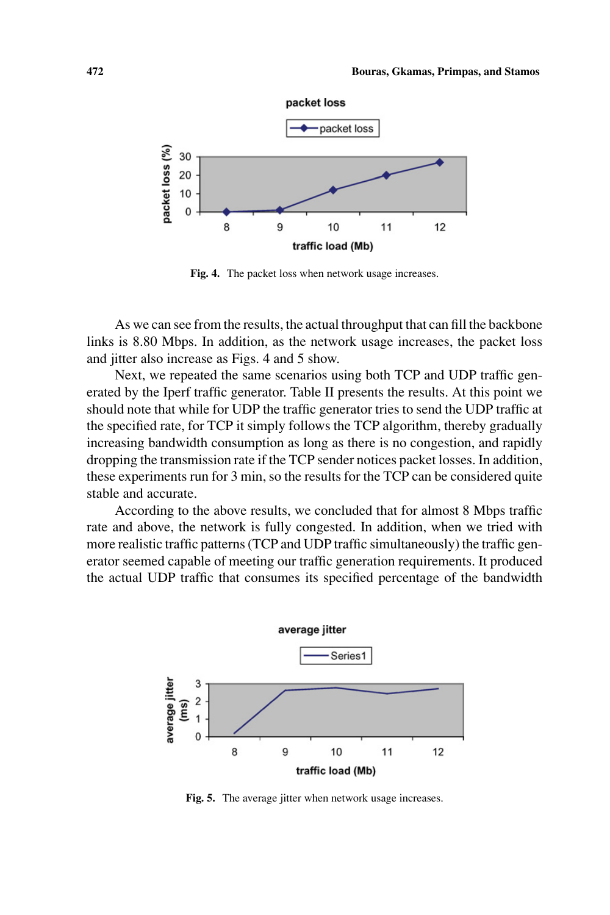

**Fig. 4.** The packet loss when network usage increases.

As we can see from the results, the actual throughput that can fill the backbone links is 8.80 Mbps. In addition, as the network usage increases, the packet loss and jitter also increase as Figs. 4 and 5 show.

Next, we repeated the same scenarios using both TCP and UDP traffic generated by the Iperf traffic generator. Table II presents the results. At this point we should note that while for UDP the traffic generator tries to send the UDP traffic at the specified rate, for TCP it simply follows the TCP algorithm, thereby gradually increasing bandwidth consumption as long as there is no congestion, and rapidly dropping the transmission rate if the TCP sender notices packet losses. In addition, these experiments run for 3 min, so the results for the TCP can be considered quite stable and accurate.

According to the above results, we concluded that for almost 8 Mbps traffic rate and above, the network is fully congested. In addition, when we tried with more realistic traffic patterns (TCP and UDP traffic simultaneously) the traffic generator seemed capable of meeting our traffic generation requirements. It produced the actual UDP traffic that consumes its specified percentage of the bandwidth



**Fig. 5.** The average jitter when network usage increases.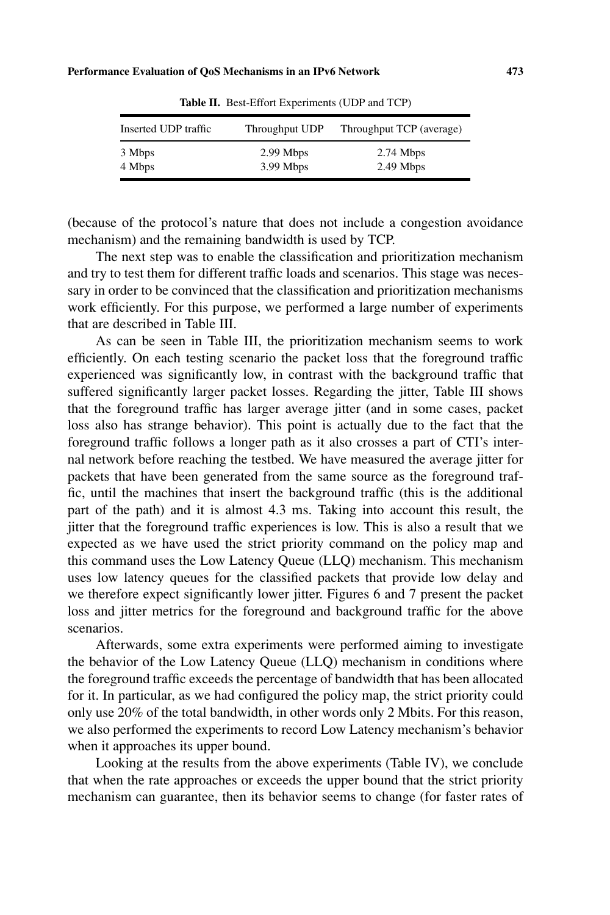| Inserted UDP traffic | Throughput UDP | Throughput TCP (average) |
|----------------------|----------------|--------------------------|
| 3 Mbps               | $2.99$ Mbps    | $2.74$ Mbps              |
| 4 Mbps               | $3.99$ Mbps    | $2.49$ Mbps              |

**Table II.** Best-Effort Experiments (UDP and TCP)

(because of the protocol's nature that does not include a congestion avoidance mechanism) and the remaining bandwidth is used by TCP.

The next step was to enable the classification and prioritization mechanism and try to test them for different traffic loads and scenarios. This stage was necessary in order to be convinced that the classification and prioritization mechanisms work efficiently. For this purpose, we performed a large number of experiments that are described in Table III.

As can be seen in Table III, the prioritization mechanism seems to work efficiently. On each testing scenario the packet loss that the foreground traffic experienced was significantly low, in contrast with the background traffic that suffered significantly larger packet losses. Regarding the jitter, Table III shows that the foreground traffic has larger average jitter (and in some cases, packet loss also has strange behavior). This point is actually due to the fact that the foreground traffic follows a longer path as it also crosses a part of CTI's internal network before reaching the testbed. We have measured the average jitter for packets that have been generated from the same source as the foreground traffic, until the machines that insert the background traffic (this is the additional part of the path) and it is almost 4.3 ms. Taking into account this result, the jitter that the foreground traffic experiences is low. This is also a result that we expected as we have used the strict priority command on the policy map and this command uses the Low Latency Queue (LLQ) mechanism. This mechanism uses low latency queues for the classified packets that provide low delay and we therefore expect significantly lower jitter. Figures 6 and 7 present the packet loss and jitter metrics for the foreground and background traffic for the above scenarios.

Afterwards, some extra experiments were performed aiming to investigate the behavior of the Low Latency Queue (LLQ) mechanism in conditions where the foreground traffic exceeds the percentage of bandwidth that has been allocated for it. In particular, as we had configured the policy map, the strict priority could only use 20% of the total bandwidth, in other words only 2 Mbits. For this reason, we also performed the experiments to record Low Latency mechanism's behavior when it approaches its upper bound.

Looking at the results from the above experiments (Table IV), we conclude that when the rate approaches or exceeds the upper bound that the strict priority mechanism can guarantee, then its behavior seems to change (for faster rates of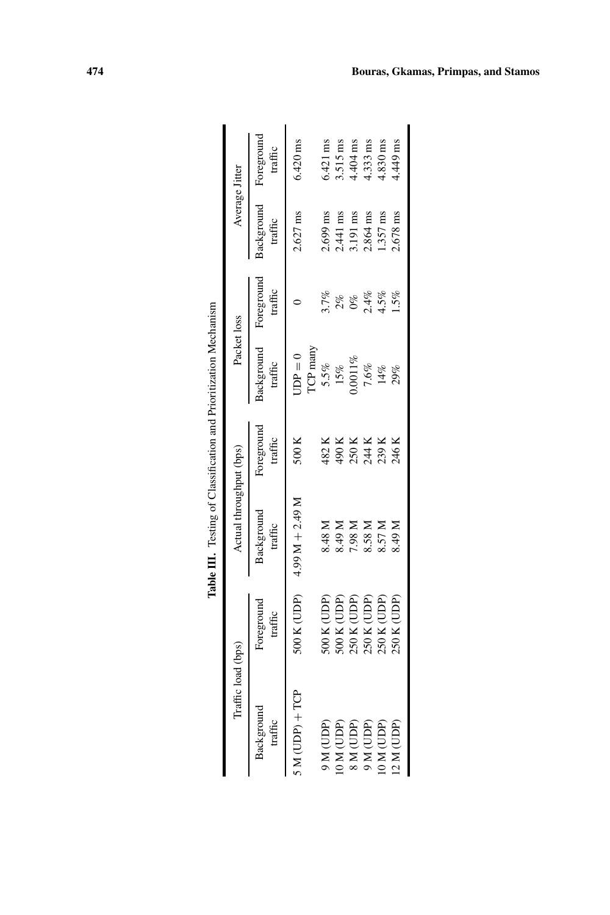| Traffic load (bps)    |                       | Actual throughput (bps) |                         | Packet loss                |                        | Average Jitter        |                     |
|-----------------------|-----------------------|-------------------------|-------------------------|----------------------------|------------------------|-----------------------|---------------------|
| Background<br>traffic | Poreground<br>traffic | Background<br>traffic   | eoregrouna<br>traffic   | ackground<br>traffic       | Foreground<br>traffic  | Background<br>traffic | Foregroun<br>raffic |
| $5 M (UDP) + TCP$     | 500 K (UDP)           | $4.99 M + 2.49 M$       | 500 K                   | <b>CP</b> many<br>$DP = 0$ |                        | 2.627 ms              | $6.420$ ms          |
| (GCID) N              | $500$ K (UDP)         | 8.48 M                  | 482 K                   | 5.5%                       | 7%                     | 2.699 ms              | $.421$ ms           |
| $0 M$ (UDP            | $500$ K (UDP)         | 8.49 M                  | 490 K                   | 15%                        | $2\%$                  | 2.441 ms              | 3.515 ms            |
| S M (UDP)             | 250 K (UDP)           | 7.98 M                  | 250 K<br>244 K<br>239 K | .0011%                     | $\mathcal{S}^{\infty}$ |                       | $1.404$ ms          |
| 9 M (UDP)             | 250 K (UDP)           | 8.58 M                  |                         | 7.6%                       | 2.4%                   | 3.191 ms<br>2.864 ms  | $4.333$ ms          |
| $0 M$ (UDP)           | 250 K (UDP)           | 8.57 M                  |                         | $14\%$                     | 4.5%                   | $1.357$ ms            | 1.830 ms            |
| $2 M$ (UDP)           | 250 K (UDP)           | 8.49 M                  | 246 K                   | 29%                        | $.5\%$                 | .678 ms               | .449 ms             |

Table III. Testing of Classification and Prioritization Mechanism **Table III.** Testing of Classification and Prioritization Mechanism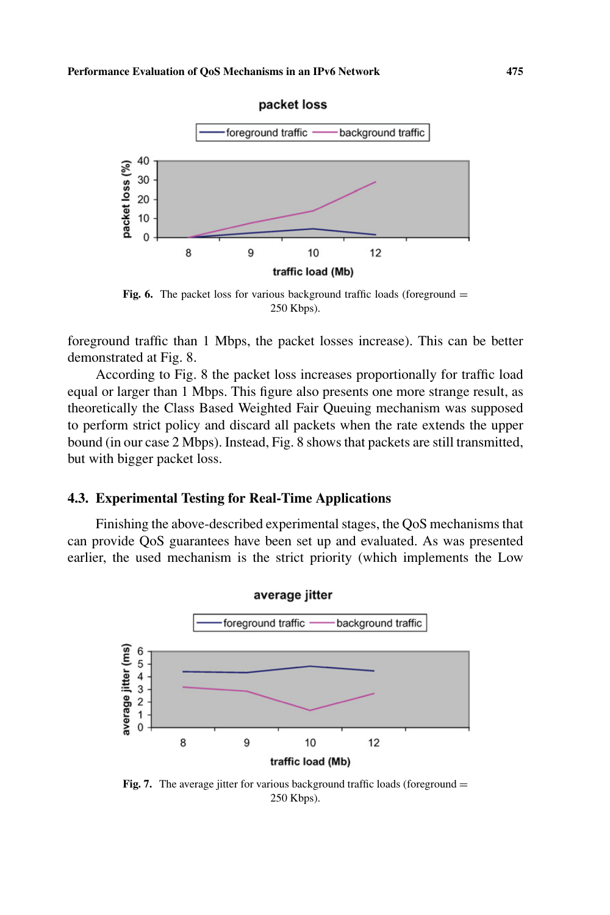

packet loss

**Fig. 6.** The packet loss for various background traffic loads (foreground  $=$ 

250 Kbps).

foreground traffic than 1 Mbps, the packet losses increase). This can be better demonstrated at Fig. 8.

According to Fig. 8 the packet loss increases proportionally for traffic load equal or larger than 1 Mbps. This figure also presents one more strange result, as theoretically the Class Based Weighted Fair Queuing mechanism was supposed to perform strict policy and discard all packets when the rate extends the upper bound (in our case 2 Mbps). Instead, Fig. 8 shows that packets are still transmitted, but with bigger packet loss.

## **4.3. Experimental Testing for Real-Time Applications**

Finishing the above-described experimental stages, the QoS mechanisms that can provide QoS guarantees have been set up and evaluated. As was presented earlier, the used mechanism is the strict priority (which implements the Low



**Fig. 7.** The average jitter for various background traffic loads (foreground = 250 Kbps).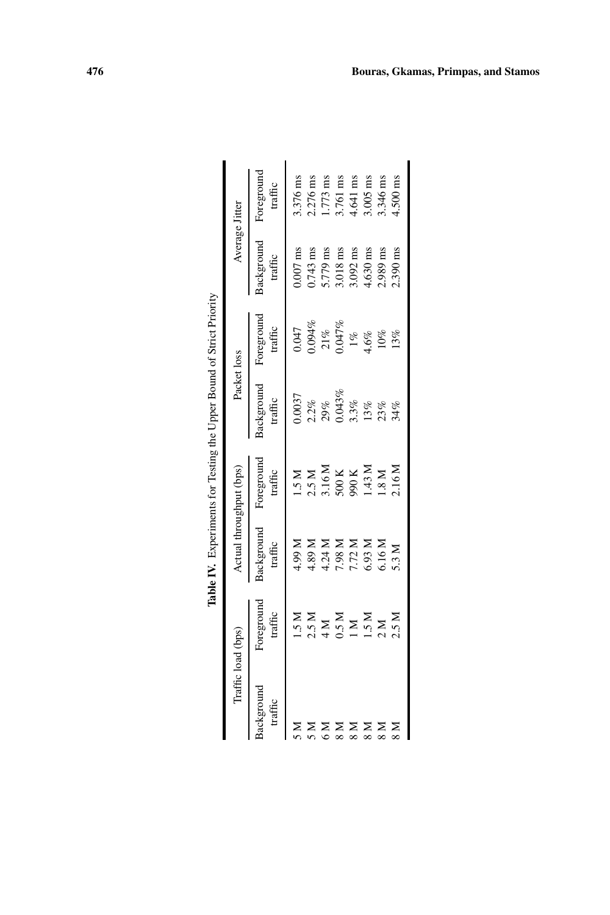|                       |                                                                                               |                            |                                                                         | more in the property of the company of the context of the context of the context of the context of the context of the context of the context of the context of the context of the context of the context of the context of the |                       |                                |                                                          |
|-----------------------|-----------------------------------------------------------------------------------------------|----------------------------|-------------------------------------------------------------------------|--------------------------------------------------------------------------------------------------------------------------------------------------------------------------------------------------------------------------------|-----------------------|--------------------------------|----------------------------------------------------------|
|                       | Traffic load (bps)                                                                            |                            | Actual throughput (bps)                                                 | Packet loss                                                                                                                                                                                                                    |                       | Average Jitter                 |                                                          |
| Background<br>traffic | Foreground<br>traffic                                                                         | Background<br>traffic      | Foreground<br>traffic                                                   | <b>Background</b><br>traffic                                                                                                                                                                                                   | Foreground<br>traffic | Background<br>traffic          | Foreground<br>traffic                                    |
| $\geqslant$           |                                                                                               | M 66't                     |                                                                         | 1.0037                                                                                                                                                                                                                         | 0.047                 | $0.007$ ms                     | 3.376 ms                                                 |
| N S                   | $\begin{array}{l} 1.5 \text{ M} \\ 2.5 \text{ M} \\ 4 \text{ M} \\ 0.5 \text{ M} \end{array}$ | 4.89 M                     | 1.5 M<br>2.5 M<br>3.16 M<br>3.16 M<br>500 K<br>1.43 M<br>1.8 M<br>1.8 M | 2.2%                                                                                                                                                                                                                           | 0.094%                | $0.743$ ms                     |                                                          |
| Ν5                    |                                                                                               |                            |                                                                         | 29%                                                                                                                                                                                                                            |                       |                                |                                                          |
| ×ε                    |                                                                                               | 4.24 M<br>7.98 M           |                                                                         | 0.043%                                                                                                                                                                                                                         | 21%<br>0.47%          | 5.779 ms<br>3.018 ms           |                                                          |
|                       |                                                                                               |                            |                                                                         |                                                                                                                                                                                                                                | $1\%$                 | $3.092 \text{ ms}$<br>4.630 ms |                                                          |
| $_{\rm 8}^{\rm 2}$    | $\begin{array}{l}\n1 M \\ 1.5 M \\ 2 M \\ 2.5 M\n\end{array}$                                 | 7.72 M<br>6.93 M<br>6.16 M |                                                                         | $3.3\%$<br>13%                                                                                                                                                                                                                 | 4.6%                  |                                | 2.276 ms<br>1.773 ms<br>3.761 ms<br>4.641 ms<br>4.641 ms |
|                       |                                                                                               |                            |                                                                         | 23%<br>34%                                                                                                                                                                                                                     | 10%                   | 2.989 ms                       | 3.346 ms                                                 |
|                       |                                                                                               | 5.3 M                      |                                                                         |                                                                                                                                                                                                                                | 13%                   | 2.390 ms                       | <b>.500 ms</b>                                           |
|                       |                                                                                               |                            |                                                                         |                                                                                                                                                                                                                                |                       |                                |                                                          |

Table IV. Experiments for Testing the Upper Bound of Strict Priority **Table IV.** Experiments for Testing the Upper Bound of Strict Priority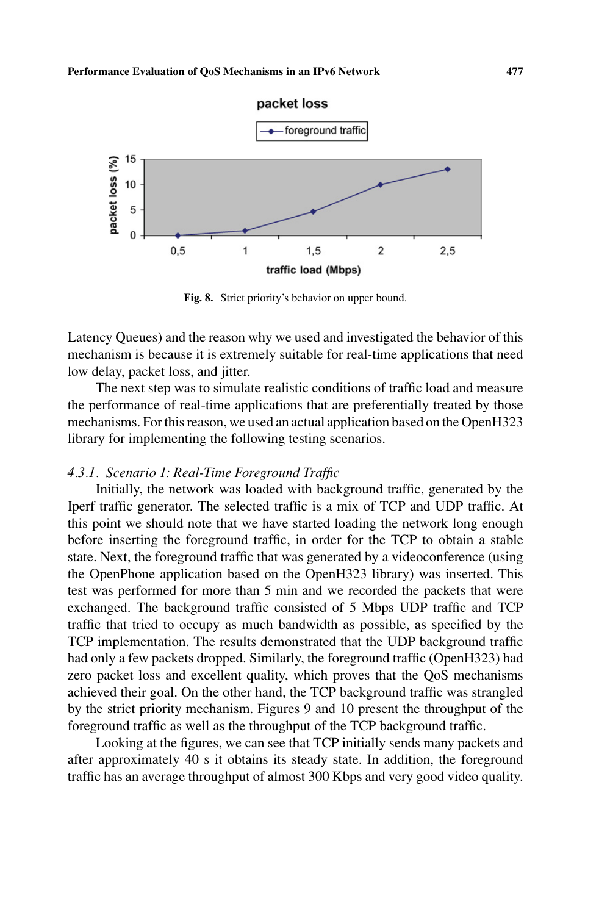

**Fig. 8.** Strict priority's behavior on upper bound.

Latency Queues) and the reason why we used and investigated the behavior of this mechanism is because it is extremely suitable for real-time applications that need low delay, packet loss, and jitter.

The next step was to simulate realistic conditions of traffic load and measure the performance of real-time applications that are preferentially treated by those mechanisms. For this reason, we used an actual application based on the OpenH323 library for implementing the following testing scenarios.

#### *4.3.1. Scenario 1: Real-Time Foreground Traffic*

Initially, the network was loaded with background traffic, generated by the Iperf traffic generator. The selected traffic is a mix of TCP and UDP traffic. At this point we should note that we have started loading the network long enough before inserting the foreground traffic, in order for the TCP to obtain a stable state. Next, the foreground traffic that was generated by a videoconference (using the OpenPhone application based on the OpenH323 library) was inserted. This test was performed for more than 5 min and we recorded the packets that were exchanged. The background traffic consisted of 5 Mbps UDP traffic and TCP traffic that tried to occupy as much bandwidth as possible, as specified by the TCP implementation. The results demonstrated that the UDP background traffic had only a few packets dropped. Similarly, the foreground traffic (OpenH323) had zero packet loss and excellent quality, which proves that the QoS mechanisms achieved their goal. On the other hand, the TCP background traffic was strangled by the strict priority mechanism. Figures 9 and 10 present the throughput of the foreground traffic as well as the throughput of the TCP background traffic.

Looking at the figures, we can see that TCP initially sends many packets and after approximately 40 s it obtains its steady state. In addition, the foreground traffic has an average throughput of almost 300 Kbps and very good video quality.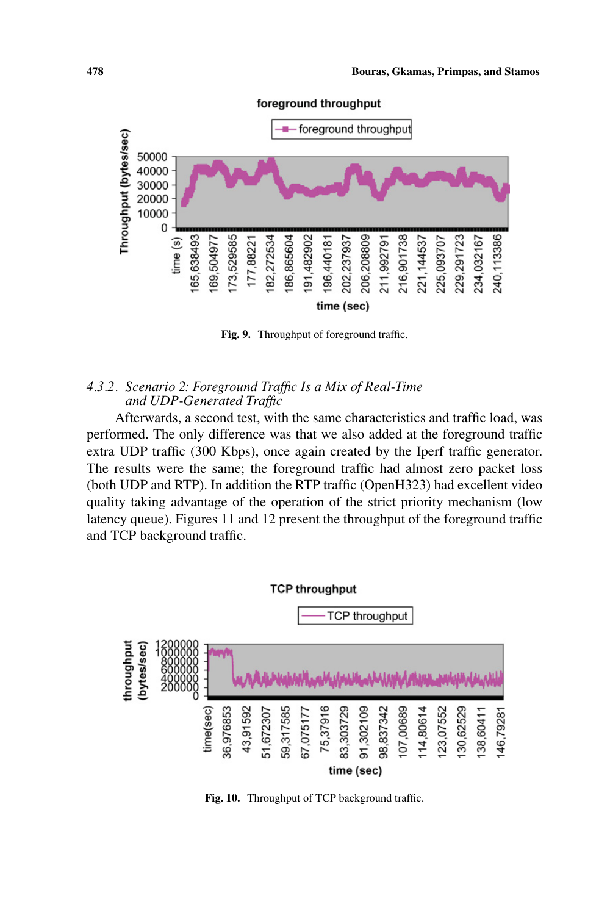

**Fig. 9.** Throughput of foreground traffic.

# *4.3.2. Scenario 2: Foreground Traffic Is a Mix of Real-Time and UDP-Generated Traffic*

Afterwards, a second test, with the same characteristics and traffic load, was performed. The only difference was that we also added at the foreground traffic extra UDP traffic (300 Kbps), once again created by the Iperf traffic generator. The results were the same; the foreground traffic had almost zero packet loss (both UDP and RTP). In addition the RTP traffic (OpenH323) had excellent video quality taking advantage of the operation of the strict priority mechanism (low latency queue). Figures 11 and 12 present the throughput of the foreground traffic and TCP background traffic.



**Fig. 10.** Throughput of TCP background traffic.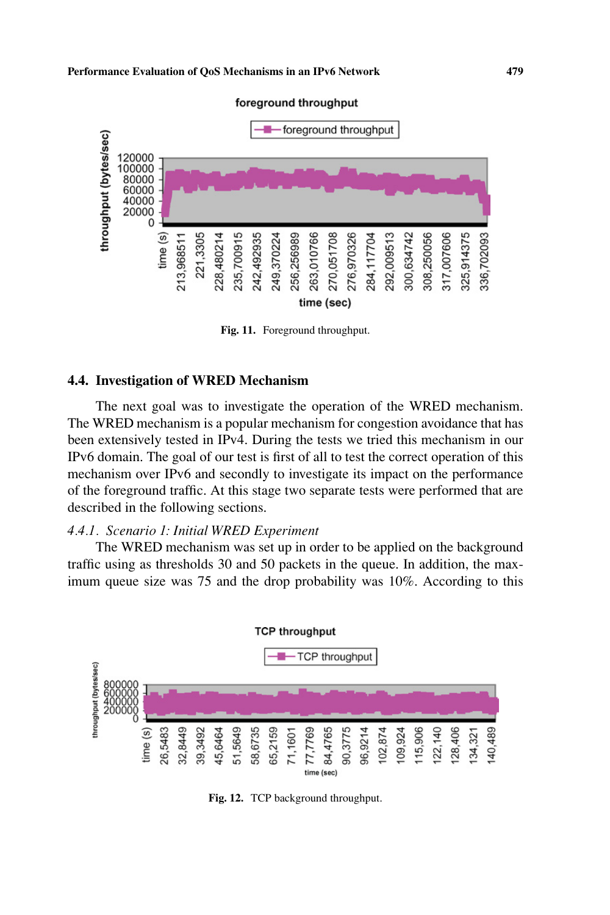

**Fig. 11.** Foreground throughput.

### **4.4. Investigation of WRED Mechanism**

The next goal was to investigate the operation of the WRED mechanism. The WRED mechanism is a popular mechanism for congestion avoidance that has been extensively tested in IPv4. During the tests we tried this mechanism in our IPv6 domain. The goal of our test is first of all to test the correct operation of this mechanism over IPv6 and secondly to investigate its impact on the performance of the foreground traffic. At this stage two separate tests were performed that are described in the following sections.

#### *4.4.1. Scenario 1: Initial WRED Experiment*

The WRED mechanism was set up in order to be applied on the background traffic using as thresholds 30 and 50 packets in the queue. In addition, the maximum queue size was 75 and the drop probability was 10%. According to this



**Fig. 12.** TCP background throughput.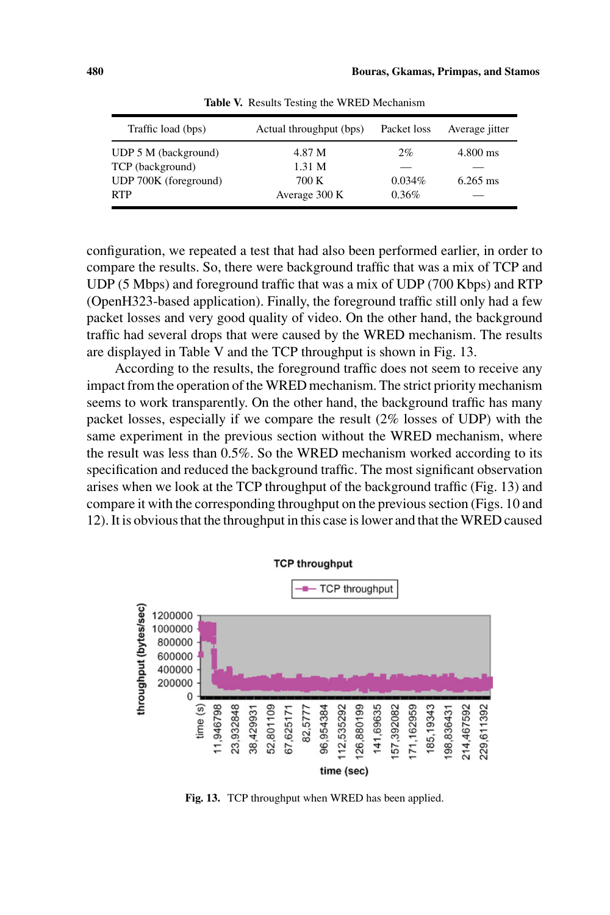| Traffic load (bps)    | Actual throughput (bps) | Packet loss | Average <i>jitter</i> |
|-----------------------|-------------------------|-------------|-----------------------|
| UDP 5 M (background)  | 4.87 M                  | 2%          | 4.800 ms              |
| TCP (background)      | 1.31 M                  |             |                       |
| UDP 700K (foreground) | 700 K                   | $0.034\%$   | $6.265$ ms            |
| <b>RTP</b>            | Average 300 K           | 0.36%       | __                    |

**Table V.** Results Testing the WRED Mechanism

configuration, we repeated a test that had also been performed earlier, in order to compare the results. So, there were background traffic that was a mix of TCP and UDP (5 Mbps) and foreground traffic that was a mix of UDP (700 Kbps) and RTP (OpenH323-based application). Finally, the foreground traffic still only had a few packet losses and very good quality of video. On the other hand, the background traffic had several drops that were caused by the WRED mechanism. The results are displayed in Table V and the TCP throughput is shown in Fig. 13.

According to the results, the foreground traffic does not seem to receive any impact from the operation of the WRED mechanism. The strict priority mechanism seems to work transparently. On the other hand, the background traffic has many packet losses, especially if we compare the result (2% losses of UDP) with the same experiment in the previous section without the WRED mechanism, where the result was less than 0.5%. So the WRED mechanism worked according to its specification and reduced the background traffic. The most significant observation arises when we look at the TCP throughput of the background traffic (Fig. 13) and compare it with the corresponding throughput on the previous section (Figs. 10 and 12). It is obvious that the throughput in this case is lower and that the WRED caused



**Fig. 13.** TCP throughput when WRED has been applied.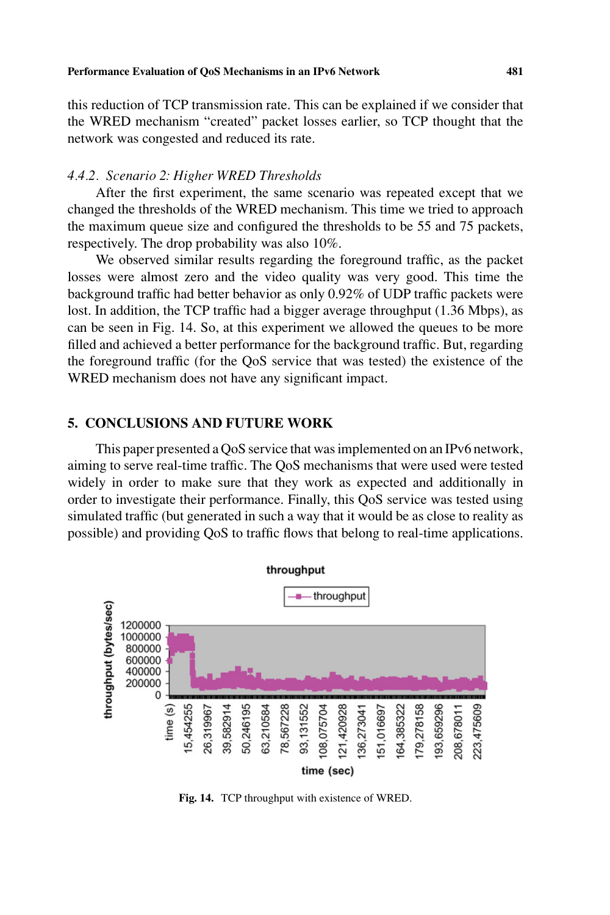this reduction of TCP transmission rate. This can be explained if we consider that the WRED mechanism "created" packet losses earlier, so TCP thought that the network was congested and reduced its rate.

#### *4.4.2. Scenario 2: Higher WRED Thresholds*

After the first experiment, the same scenario was repeated except that we changed the thresholds of the WRED mechanism. This time we tried to approach the maximum queue size and configured the thresholds to be 55 and 75 packets, respectively. The drop probability was also 10%.

We observed similar results regarding the foreground traffic, as the packet losses were almost zero and the video quality was very good. This time the background traffic had better behavior as only 0.92% of UDP traffic packets were lost. In addition, the TCP traffic had a bigger average throughput (1.36 Mbps), as can be seen in Fig. 14. So, at this experiment we allowed the queues to be more filled and achieved a better performance for the background traffic. But, regarding the foreground traffic (for the QoS service that was tested) the existence of the WRED mechanism does not have any significant impact.

## **5. CONCLUSIONS AND FUTURE WORK**

This paper presented a QoS service that was implemented on an IPv6 network, aiming to serve real-time traffic. The QoS mechanisms that were used were tested widely in order to make sure that they work as expected and additionally in order to investigate their performance. Finally, this QoS service was tested using simulated traffic (but generated in such a way that it would be as close to reality as possible) and providing QoS to traffic flows that belong to real-time applications.



**Fig. 14.** TCP throughput with existence of WRED.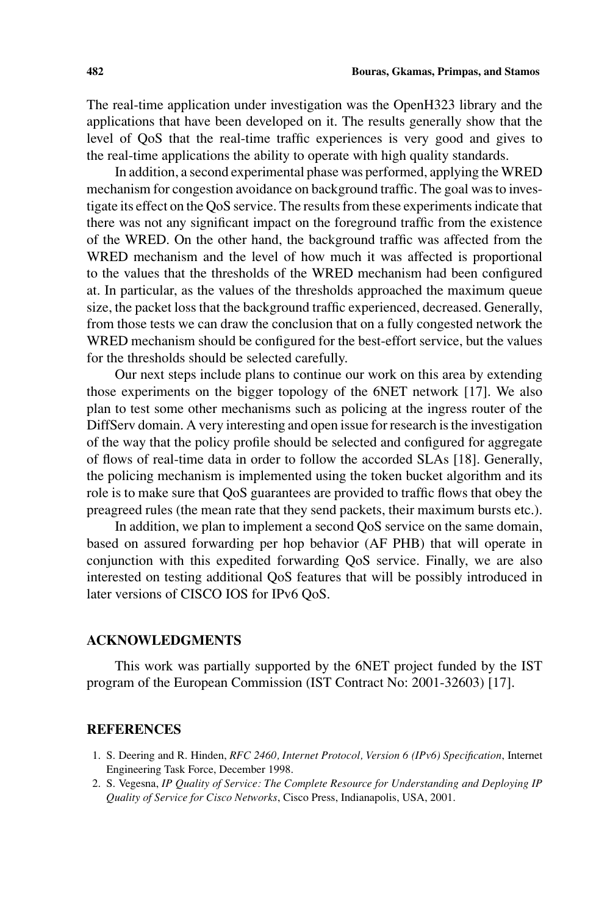The real-time application under investigation was the OpenH323 library and the applications that have been developed on it. The results generally show that the level of QoS that the real-time traffic experiences is very good and gives to the real-time applications the ability to operate with high quality standards.

In addition, a second experimental phase was performed, applying the WRED mechanism for congestion avoidance on background traffic. The goal was to investigate its effect on the QoS service. The results from these experiments indicate that there was not any significant impact on the foreground traffic from the existence of the WRED. On the other hand, the background traffic was affected from the WRED mechanism and the level of how much it was affected is proportional to the values that the thresholds of the WRED mechanism had been configured at. In particular, as the values of the thresholds approached the maximum queue size, the packet loss that the background traffic experienced, decreased. Generally, from those tests we can draw the conclusion that on a fully congested network the WRED mechanism should be configured for the best-effort service, but the values for the thresholds should be selected carefully.

Our next steps include plans to continue our work on this area by extending those experiments on the bigger topology of the 6NET network [17]. We also plan to test some other mechanisms such as policing at the ingress router of the DiffServ domain. A very interesting and open issue for research is the investigation of the way that the policy profile should be selected and configured for aggregate of flows of real-time data in order to follow the accorded SLAs [18]. Generally, the policing mechanism is implemented using the token bucket algorithm and its role is to make sure that QoS guarantees are provided to traffic flows that obey the preagreed rules (the mean rate that they send packets, their maximum bursts etc.).

In addition, we plan to implement a second QoS service on the same domain, based on assured forwarding per hop behavior (AF PHB) that will operate in conjunction with this expedited forwarding QoS service. Finally, we are also interested on testing additional QoS features that will be possibly introduced in later versions of CISCO IOS for IPv6 QoS.

#### **ACKNOWLEDGMENTS**

This work was partially supported by the 6NET project funded by the IST program of the European Commission (IST Contract No: 2001-32603) [17].

#### **REFERENCES**

- 1. S. Deering and R. Hinden, *RFC 2460, Internet Protocol, Version 6 (IPv6) Specification*, Internet Engineering Task Force, December 1998.
- 2. S. Vegesna, *IP Quality of Service: The Complete Resource for Understanding and Deploying IP Quality of Service for Cisco Networks*, Cisco Press, Indianapolis, USA, 2001.